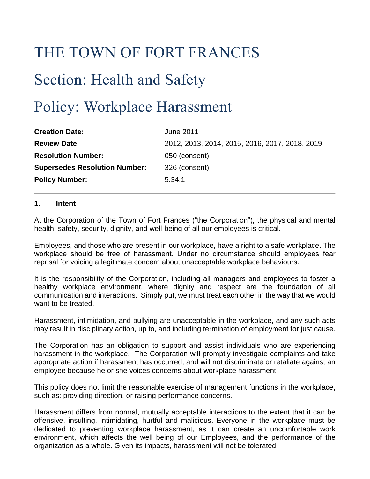## THE TOWN OF FORT FRANCES

# Section: Health and Safety

## Policy: Workplace Harassment

| <b>Creation Date:</b>                | <b>June 2011</b>                               |
|--------------------------------------|------------------------------------------------|
| <b>Review Date:</b>                  | 2012, 2013, 2014, 2015, 2016, 2017, 2018, 2019 |
| <b>Resolution Number:</b>            | 050 (consent)                                  |
| <b>Supersedes Resolution Number:</b> | 326 (consent)                                  |
| <b>Policy Number:</b>                | 5.34.1                                         |

#### **1. Intent**

At the Corporation of the Town of Fort Frances ("the Corporation"), the physical and mental health, safety, security, dignity, and well-being of all our employees is critical.

Employees, and those who are present in our workplace, have a right to a safe workplace. The workplace should be free of harassment. Under no circumstance should employees fear reprisal for voicing a legitimate concern about unacceptable workplace behaviours.

It is the responsibility of the Corporation, including all managers and employees to foster a healthy workplace environment, where dignity and respect are the foundation of all communication and interactions. Simply put, we must treat each other in the way that we would want to be treated.

Harassment, intimidation, and bullying are unacceptable in the workplace, and any such acts may result in disciplinary action, up to, and including termination of employment for just cause.

The Corporation has an obligation to support and assist individuals who are experiencing harassment in the workplace. The Corporation will promptly investigate complaints and take appropriate action if harassment has occurred, and will not discriminate or retaliate against an employee because he or she voices concerns about workplace harassment.

This policy does not limit the reasonable exercise of management functions in the workplace, such as: providing direction, or raising performance concerns.

Harassment differs from normal, mutually acceptable interactions to the extent that it can be offensive, insulting, intimidating, hurtful and malicious. Everyone in the workplace must be dedicated to preventing workplace harassment, as it can create an uncomfortable work environment, which affects the well being of our Employees, and the performance of the organization as a whole. Given its impacts, harassment will not be tolerated.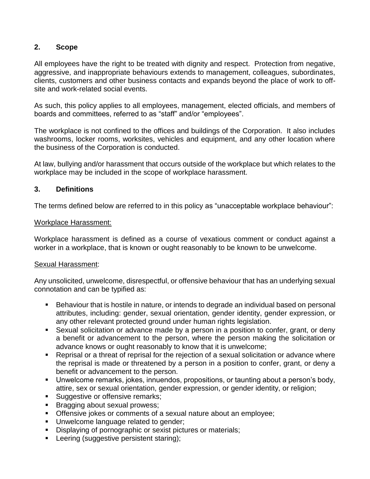#### **2. Scope**

All employees have the right to be treated with dignity and respect. Protection from negative, aggressive, and inappropriate behaviours extends to management, colleagues, subordinates, clients, customers and other business contacts and expands beyond the place of work to offsite and work-related social events.

As such, this policy applies to all employees, management, elected officials, and members of boards and committees, referred to as "staff" and/or "employees".

The workplace is not confined to the offices and buildings of the Corporation. It also includes washrooms, locker rooms, worksites, vehicles and equipment, and any other location where the business of the Corporation is conducted.

At law, bullying and/or harassment that occurs outside of the workplace but which relates to the workplace may be included in the scope of workplace harassment.

#### **3. Definitions**

The terms defined below are referred to in this policy as "unacceptable workplace behaviour":

#### Workplace Harassment:

Workplace harassment is defined as a course of vexatious comment or conduct against a worker in a workplace, that is known or ought reasonably to be known to be unwelcome.

#### Sexual Harassment:

Any unsolicited, unwelcome, disrespectful, or offensive behaviour that has an underlying sexual connotation and can be typified as:

- Behaviour that is hostile in nature, or intends to degrade an individual based on personal attributes, including: gender, sexual orientation, gender identity, gender expression, or any other relevant protected ground under human rights legislation.
- Sexual solicitation or advance made by a person in a position to confer, grant, or deny a benefit or advancement to the person, where the person making the solicitation or advance knows or ought reasonably to know that it is unwelcome;
- Reprisal or a threat of reprisal for the rejection of a sexual solicitation or advance where the reprisal is made or threatened by a person in a position to confer, grant, or deny a benefit or advancement to the person.
- Unwelcome remarks, jokes, innuendos, propositions, or taunting about a person's body, attire, sex or sexual orientation, gender expression, or gender identity, or religion;
- Suggestive or offensive remarks;
- Bragging about sexual prowess;
- Offensive jokes or comments of a sexual nature about an employee;
- Unwelcome language related to gender;
- **E** Displaying of pornographic or sexist pictures or materials;
- Leering (suggestive persistent staring);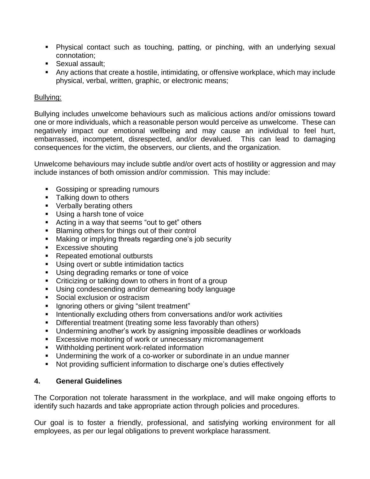- Physical contact such as touching, patting, or pinching, with an underlying sexual connotation;
- Sexual assault;
- Any actions that create a hostile, intimidating, or offensive workplace, which may include physical, verbal, written, graphic, or electronic means;

#### Bullying:

Bullying includes unwelcome behaviours such as malicious actions and/or omissions toward one or more individuals, which a reasonable person would perceive as unwelcome. These can negatively impact our emotional wellbeing and may cause an individual to feel hurt, embarrassed, incompetent, disrespected, and/or devalued. This can lead to damaging consequences for the victim, the observers, our clients, and the organization.

Unwelcome behaviours may include subtle and/or overt acts of hostility or aggression and may include instances of both omission and/or commission. This may include:

- Gossiping or spreading rumours
- Talking down to others
- Verbally berating others
- Using a harsh tone of voice
- Acting in a way that seems "out to get" others
- Blaming others for things out of their control
- Making or implying threats regarding one's job security
- Excessive shouting
- Repeated emotional outbursts
- Using overt or subtle intimidation tactics
- Using degrading remarks or tone of voice
- Criticizing or talking down to others in front of a group
- Using condescending and/or demeaning body language
- Social exclusion or ostracism
- Ignoring others or giving "silent treatment"
- **EXECT** Intentionally excluding others from conversations and/or work activities
- **E** Differential treatment (treating some less favorably than others)
- Undermining another's work by assigning impossible deadlines or workloads
- Excessive monitoring of work or unnecessary micromanagement
- Withholding pertinent work-related information
- Undermining the work of a co-worker or subordinate in an undue manner
- Not providing sufficient information to discharge one's duties effectively

## **4. General Guidelines**

The Corporation not tolerate harassment in the workplace, and will make ongoing efforts to identify such hazards and take appropriate action through policies and procedures.

Our goal is to foster a friendly, professional, and satisfying working environment for all employees, as per our legal obligations to prevent workplace harassment.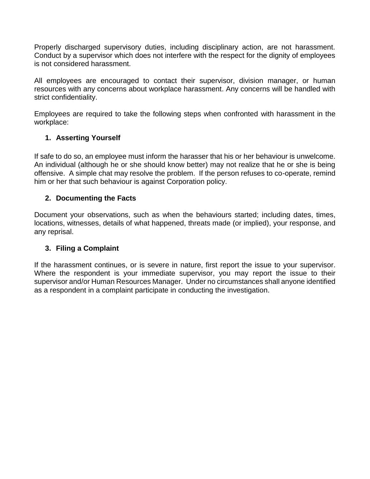Properly discharged supervisory duties, including disciplinary action, are not harassment. Conduct by a supervisor which does not interfere with the respect for the dignity of employees is not considered harassment.

All employees are encouraged to contact their supervisor, division manager, or human resources with any concerns about workplace harassment. Any concerns will be handled with strict confidentiality.

Employees are required to take the following steps when confronted with harassment in the workplace:

### **1. Asserting Yourself**

If safe to do so, an employee must inform the harasser that his or her behaviour is unwelcome. An individual (although he or she should know better) may not realize that he or she is being offensive. A simple chat may resolve the problem. If the person refuses to co-operate, remind him or her that such behaviour is against Corporation policy.

#### **2. Documenting the Facts**

Document your observations, such as when the behaviours started; including dates, times, locations, witnesses, details of what happened, threats made (or implied), your response, and any reprisal.

#### **3. Filing a Complaint**

If the harassment continues, or is severe in nature, first report the issue to your supervisor. Where the respondent is your immediate supervisor, you may report the issue to their supervisor and/or Human Resources Manager. Under no circumstances shall anyone identified as a respondent in a complaint participate in conducting the investigation.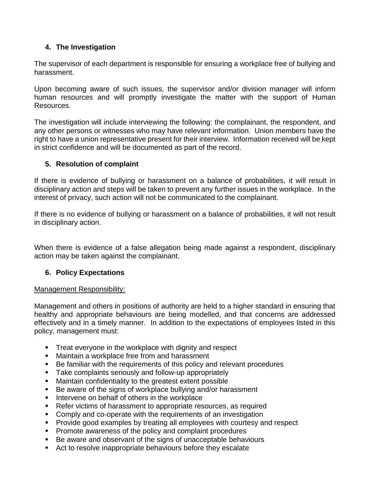### **4. The Investigation**

The supervisor of each department is responsible for ensuring a workplace free of bullying and harassment.

Upon becoming aware of such issues, the supervisor and/or division manager will inform human resources and will promptly investigate the matter with the support of Human Resources.

The investigation will include interviewing the following: the complainant, the respondent, and any other persons or witnesses who may have relevant information. Union members have the right to have a union representative present for their interview. Information received will be kept in strict confidence and will be documented as part of the record.

#### **5. Resolution of complaint**

If there is evidence of bullying or harassment on a balance of probabilities, it will result in disciplinary action and steps will be taken to prevent any further issues in the workplace. In the interest of privacy, such action will not be communicated to the complainant.

If there is no evidence of bullying or harassment on a balance of probabilities, it will not result in disciplinary action.

When there is evidence of a false allegation being made against a respondent, disciplinary action may be taken against the complainant.

## **6. Policy Expectations**

#### Management Responsibility:

Management and others in positions of authority are held to a higher standard in ensuring that healthy and appropriate behaviours are being modelled, and that concerns are addressed effectively and in a timely manner. In addition to the expectations of employees listed in this policy, management must:

- Treat everyone in the workplace with dignity and respect
- Maintain a workplace free from and harassment
- Be familiar with the requirements of this policy and relevant procedures
- Take complaints seriously and follow-up appropriately
- Maintain confidentiality to the greatest extent possible
- Be aware of the signs of workplace bullying and/or harassment
- Intervene on behalf of others in the workplace
- Refer victims of harassment to appropriate resources, as required
- Comply and co-operate with the requirements of an investigation
- Provide good examples by treating all employees with courtesy and respect
- Promote awareness of the policy and complaint procedures
- Be aware and observant of the signs of unacceptable behaviours
- Act to resolve inappropriate behaviours before they escalate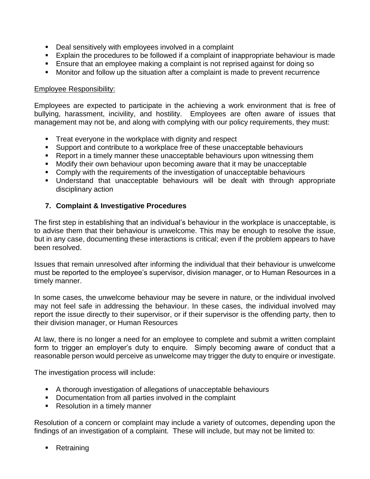- Deal sensitively with employees involved in a complaint
- Explain the procedures to be followed if a complaint of inappropriate behaviour is made
- Ensure that an employee making a complaint is not reprised against for doing so
- Monitor and follow up the situation after a complaint is made to prevent recurrence

#### Employee Responsibility:

Employees are expected to participate in the achieving a work environment that is free of bullying, harassment, incivility, and hostility. Employees are often aware of issues that management may not be, and along with complying with our policy requirements, they must:

- Treat everyone in the workplace with dignity and respect
- Support and contribute to a workplace free of these unacceptable behaviours
- Report in a timely manner these unacceptable behaviours upon witnessing them
- Modify their own behaviour upon becoming aware that it may be unacceptable
- Comply with the requirements of the investigation of unacceptable behaviours
- Understand that unacceptable behaviours will be dealt with through appropriate disciplinary action

#### **7. Complaint & Investigative Procedures**

The first step in establishing that an individual's behaviour in the workplace is unacceptable, is to advise them that their behaviour is unwelcome. This may be enough to resolve the issue, but in any case, documenting these interactions is critical; even if the problem appears to have been resolved.

Issues that remain unresolved after informing the individual that their behaviour is unwelcome must be reported to the employee's supervisor, division manager, or to Human Resources in a timely manner.

In some cases, the unwelcome behaviour may be severe in nature, or the individual involved may not feel safe in addressing the behaviour. In these cases, the individual involved may report the issue directly to their supervisor, or if their supervisor is the offending party, then to their division manager, or Human Resources

At law, there is no longer a need for an employee to complete and submit a written complaint form to trigger an employer's duty to enquire. Simply becoming aware of conduct that a reasonable person would perceive as unwelcome may trigger the duty to enquire or investigate.

The investigation process will include:

- A thorough investigation of allegations of unacceptable behaviours
- Documentation from all parties involved in the complaint
- Resolution in a timely manner

Resolution of a concern or complaint may include a variety of outcomes, depending upon the findings of an investigation of a complaint. These will include, but may not be limited to:

■ Retraining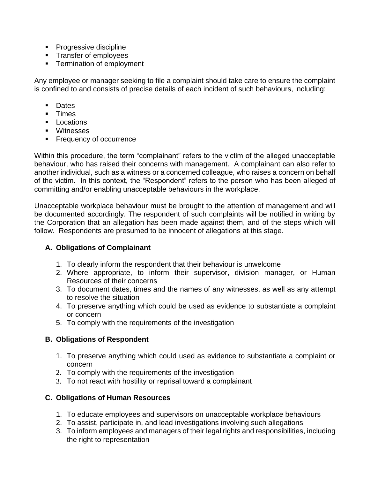- Progressive discipline
- Transfer of employees
- Termination of employment

Any employee or manager seeking to file a complaint should take care to ensure the complaint is confined to and consists of precise details of each incident of such behaviours, including:

- Dates
- Times
- Locations
- Witnesses
- Frequency of occurrence

Within this procedure, the term "complainant" refers to the victim of the alleged unacceptable behaviour, who has raised their concerns with management. A complainant can also refer to another individual, such as a witness or a concerned colleague, who raises a concern on behalf of the victim. In this context, the "Respondent" refers to the person who has been alleged of committing and/or enabling unacceptable behaviours in the workplace.

Unacceptable workplace behaviour must be brought to the attention of management and will be documented accordingly. The respondent of such complaints will be notified in writing by the Corporation that an allegation has been made against them, and of the steps which will follow. Respondents are presumed to be innocent of allegations at this stage.

## **A. Obligations of Complainant**

- 1. To clearly inform the respondent that their behaviour is unwelcome
- 2. Where appropriate, to inform their supervisor, division manager, or Human Resources of their concerns
- 3. To document dates, times and the names of any witnesses, as well as any attempt to resolve the situation
- 4. To preserve anything which could be used as evidence to substantiate a complaint or concern
- 5. To comply with the requirements of the investigation

## **B. Obligations of Respondent**

- 1. To preserve anything which could used as evidence to substantiate a complaint or concern
- 2. To comply with the requirements of the investigation
- 3. To not react with hostility or reprisal toward a complainant

## **C. Obligations of Human Resources**

- 1. To educate employees and supervisors on unacceptable workplace behaviours
- 2. To assist, participate in, and lead investigations involving such allegations
- 3. To inform employees and managers of their legal rights and responsibilities, including the right to representation